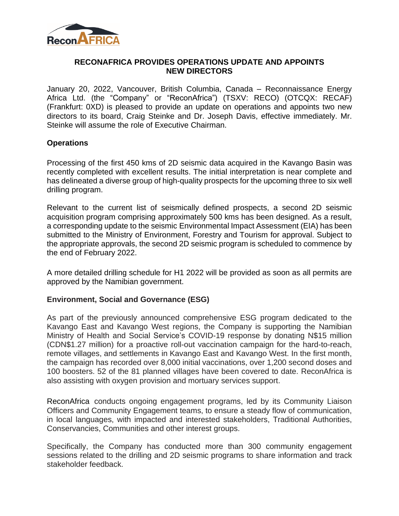

## **RECONAFRICA PROVIDES OPERATIONS UPDATE AND APPOINTS NEW DIRECTORS**

January 20, 2022, Vancouver, British Columbia, Canada – Reconnaissance Energy Africa Ltd. (the "Company" or "ReconAfrica") (TSXV: RECO) (OTCQX: RECAF) (Frankfurt: 0XD) is pleased to provide an update on operations and appoints two new directors to its board, Craig Steinke and Dr. Joseph Davis, effective immediately. Mr. Steinke will assume the role of Executive Chairman.

## **Operations**

Processing of the first 450 kms of 2D seismic data acquired in the Kavango Basin was recently completed with excellent results. The initial interpretation is near complete and has delineated a diverse group of high-quality prospects for the upcoming three to six well drilling program.

Relevant to the current list of seismically defined prospects, a second 2D seismic acquisition program comprising approximately 500 kms has been designed. As a result, a corresponding update to the seismic Environmental Impact Assessment (EIA) has been submitted to the Ministry of Environment, Forestry and Tourism for approval. Subject to the appropriate approvals, the second 2D seismic program is scheduled to commence by the end of February 2022.

A more detailed drilling schedule for H1 2022 will be provided as soon as all permits are approved by the Namibian government.

#### **Environment, Social and Governance (ESG)**

As part of the previously announced comprehensive ESG program dedicated to the Kavango East and Kavango West regions, the Company is supporting the Namibian Ministry of Health and Social Service's COVID-19 response by donating N\$15 million (CDN\$1.27 million) for a proactive roll-out vaccination campaign for the hard-to-reach, remote villages, and settlements in Kavango East and Kavango West. In the first month, the campaign has recorded over 8,000 initial vaccinations, over 1,200 second doses and 100 boosters. 52 of the 81 planned villages have been covered to date. ReconAfrica is also assisting with oxygen provision and mortuary services support.

ReconAfrica conducts ongoing engagement programs, led by its Community Liaison Officers and Community Engagement teams, to ensure a steady flow of communication, in local languages, with impacted and interested stakeholders, Traditional Authorities, Conservancies, Communities and other interest groups.

Specifically, the Company has conducted more than 300 community engagement sessions related to the drilling and 2D seismic programs to share information and track stakeholder feedback.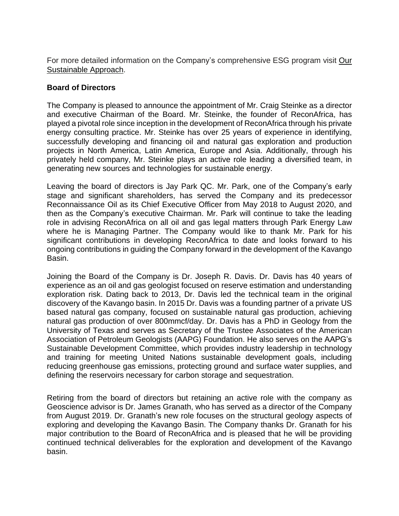For more detailed information on the Company's comprehensive ESG program visit [Our](https://reconafrica.com/our-sustainable-approach/) [Sustainable](https://reconafrica.com/our-sustainable-approach/) Approach.

# **Board of Directors**

The Company is pleased to announce the appointment of Mr. Craig Steinke as a director and executive Chairman of the Board. Mr. Steinke, the founder of ReconAfrica, has played a pivotal role since inception in the development of ReconAfrica through his private energy consulting practice. Mr. Steinke has over 25 years of experience in identifying, successfully developing and financing oil and natural gas exploration and production projects in North America, Latin America, Europe and Asia. Additionally, through his privately held company, Mr. Steinke plays an active role leading a diversified team, in generating new sources and technologies for sustainable energy.

Leaving the board of directors is Jay Park QC. Mr. Park, one of the Company's early stage and significant shareholders, has served the Company and its predecessor Reconnaissance Oil as its Chief Executive Officer from May 2018 to August 2020, and then as the Company's executive Chairman. Mr. Park will continue to take the leading role in advising ReconAfrica on all oil and gas legal matters through Park Energy Law where he is Managing Partner. The Company would like to thank Mr. Park for his significant contributions in developing ReconAfrica to date and looks forward to his ongoing contributions in guiding the Company forward in the development of the Kavango Basin.

Joining the Board of the Company is Dr. Joseph R. Davis. Dr. Davis has 40 years of experience as an oil and gas geologist focused on reserve estimation and understanding exploration risk. Dating back to 2013, Dr. Davis led the technical team in the original discovery of the Kavango basin. In 2015 Dr. Davis was a founding partner of a private US based natural gas company, focused on sustainable natural gas production, achieving natural gas production of over 800mmcf/day. Dr. Davis has a PhD in Geology from the University of Texas and serves as Secretary of the Trustee Associates of the American Association of Petroleum Geologists (AAPG) Foundation. He also serves on the AAPG's Sustainable Development Committee, which provides industry leadership in technology and training for meeting United Nations sustainable development goals, including reducing greenhouse gas emissions, protecting ground and surface water supplies, and defining the reservoirs necessary for carbon storage and sequestration.

Retiring from the board of directors but retaining an active role with the company as Geoscience advisor is Dr. James Granath, who has served as a director of the Company from August 2019. Dr. Granath's new role focuses on the structural geology aspects of exploring and developing the Kavango Basin. The Company thanks Dr. Granath for his major contribution to the Board of ReconAfrica and is pleased that he will be providing continued technical deliverables for the exploration and development of the Kavango basin.